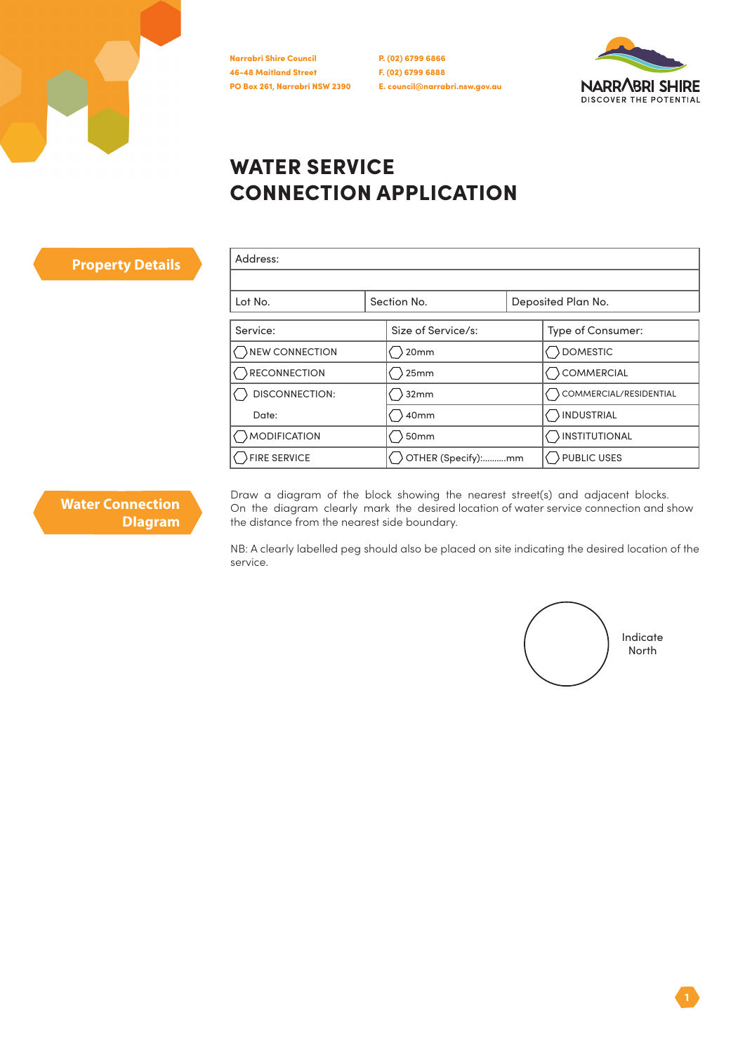

P. (02) 6799 6866 F. (02) 6799 6888 E. council@narrabri.nsw.gov.au



## WATER SERVICE CONNECTION APPLICATION

| Address:              |                    |  |                        |
|-----------------------|--------------------|--|------------------------|
| Lot No.               | Section No.        |  | Deposited Plan No.     |
| Service:              | Size of Service/s: |  | Type of Consumer:      |
| NEW CONNECTION        | 20mm               |  | DOMESTIC               |
| RECONNECTION          | 25mm               |  | COMMERCIAL             |
| <b>DISCONNECTION:</b> | 32mm               |  | COMMERCIAL/RESIDENTIAL |
| Date:                 | 40mm               |  | INDUSTRIAL             |
| <b>MODIFICATION</b>   | 50mm               |  | <b>INSTITUTIONAL</b>   |
| FIRE SERVICE          | OTHER (Specify):mm |  | PUBLIC USES            |

**Water Connection DIagram**

**Property Details** 

Draw a diagram of the block showing the nearest street(s) and adjacent blocks. On the diagram clearly mark the desired location of water service connection and show the distance from the nearest side boundary.

NB: A clearly labelled peg should also be placed on site indicating the desired location of the service.